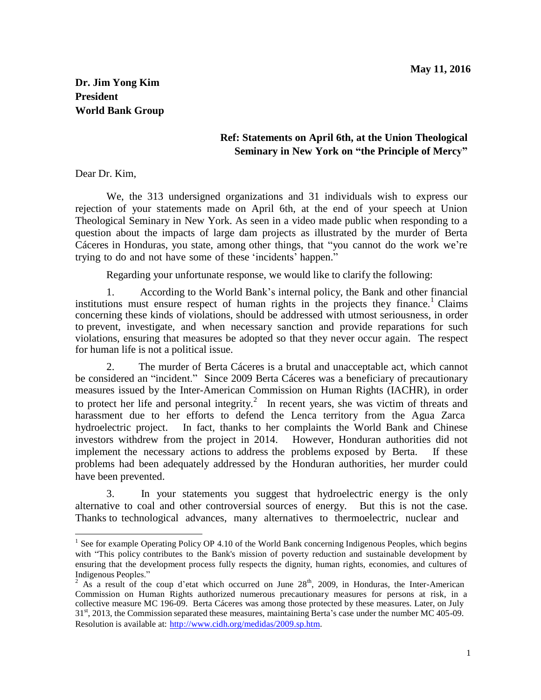## **Dr. Jim Yong Kim President World Bank Group**

## **Ref: Statements on April 6th, at the Union Theological Seminary in New York on "the Principle of Mercy"**

Dear Dr. Kim,

We, the 313 undersigned organizations and 31 individuals wish to express our rejection of your statements made on April 6th, at the end of your speech at Union Theological Seminary in New York. As seen in a video made public when responding to a question about the impacts of large dam projects as illustrated by the murder of Berta Cáceres in Honduras, you state, among other things, that "you cannot do the work we"re trying to do and not have some of these 'incidents' happen."

Regarding your unfortunate response, we would like to clarify the following:

1. According to the World Bank"s internal policy, the Bank and other financial institutions must ensure respect of human rights in the projects they finance.<sup>1</sup> Claims concerning these kinds of violations, should be addressed with utmost seriousness, in order to prevent, investigate, and when necessary sanction and provide reparations for such violations, ensuring that measures be adopted so that they never occur again. The respect for human life is not a political issue.

2. The murder of Berta Cáceres is a brutal and unacceptable act, which cannot be considered an "incident." Since 2009 Berta Cáceres was a beneficiary of precautionary measures issued by the Inter-American Commission on Human Rights (IACHR), in order to protect her life and personal integrity.<sup>2</sup> In recent years, she was victim of threats and harassment due to her efforts to defend the Lenca territory from the Agua Zarca hydroelectric project. In fact, thanks to her complaints the World Bank and Chinese investors withdrew from the project in 2014. However, Honduran authorities did not implement the necessary actions to address the problems exposed by Berta. If these problems had been adequately addressed by the Honduran authorities, her murder could have been prevented.

3. In your statements you suggest that hydroelectric energy is the only alternative to coal and other controversial sources of energy. But this is not the case. Thanks to technological advances, many alternatives to thermoelectric, nuclear and

<sup>&</sup>lt;sup>1</sup> See for example Operating Policy OP 4.10 of the World Bank concerning Indigenous Peoples, which begins with "This policy contributes to the Bank's mission of poverty reduction and sustainable development by ensuring that the development process fully respects the dignity, human rights, economies, and cultures of Indigenous Peoples."

<sup>&</sup>lt;sup>2</sup> As a result of the coup d'etat which occurred on June  $28<sup>th</sup>$ , 2009, in Honduras, the Inter-American Commission on Human Rights authorized numerous precautionary measures for persons at risk, in a collective measure MC 196-09. Berta Cáceres was among those protected by these measures. Later, on July 31<sup>st</sup>, 2013, the Commission separated these measures, maintaining Berta's case under the number MC 405-09. Resolution is available at: <http://www.cidh.org/medidas/2009.sp.htm>.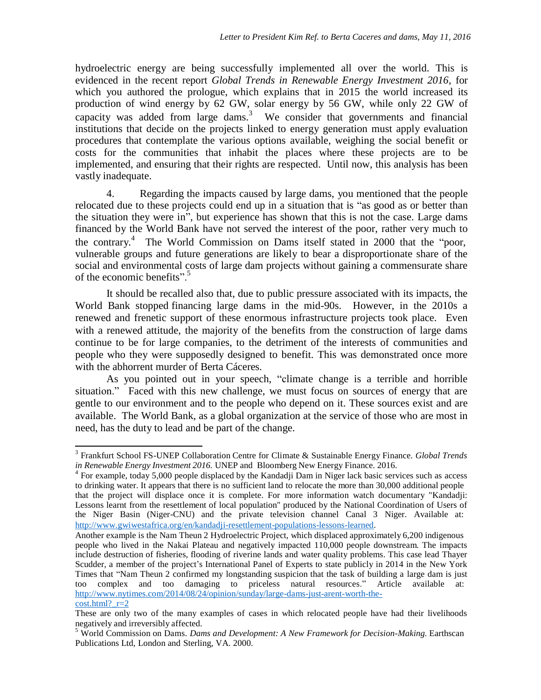hydroelectric energy are being successfully implemented all over the world. This is evidenced in the recent report *Global Trends in Renewable Energy Investment 2016*, for which you authored the prologue, which explains that in 2015 the world increased its production of wind energy by 62 GW, solar energy by 56 GW, while only 22 GW of capacity was added from large dams.<sup>3</sup> We consider that governments and financial institutions that decide on the projects linked to energy generation must apply evaluation procedures that contemplate the various options available, weighing the social benefit or costs for the communities that inhabit the places where these projects are to be implemented, and ensuring that their rights are respected. Until now, this analysis has been vastly inadequate.

4. Regarding the impacts caused by large dams, you mentioned that the people relocated due to these projects could end up in a situation that is "as good as or better than the situation they were in", but experience has shown that this is not the case. Large dams financed by the World Bank have not served the interest of the poor, rather very much to the contrary.<sup>4</sup> The World Commission on Dams itself stated in 2000 that the "poor, vulnerable groups and future generations are likely to bear a disproportionate share of the social and environmental costs of large dam projects without gaining a commensurate share of the economic benefits"<sup>5</sup>

It should be recalled also that, due to public pressure associated with its impacts, the World Bank stopped financing large dams in the mid-90s. However, in the 2010s a renewed and frenetic support of these enormous infrastructure projects took place. Even with a renewed attitude, the majority of the benefits from the construction of large dams continue to be for large companies, to the detriment of the interests of communities and people who they were supposedly designed to benefit. This was demonstrated once more with the abhorrent murder of Berta Cáceres.

As you pointed out in your speech, "climate change is a terrible and horrible situation." Faced with this new challenge, we must focus on sources of energy that are gentle to our environment and to the people who depend on it. These sources exist and are available. The World Bank, as a global organization at the service of those who are most in need, has the duty to lead and be part of the change.

<sup>3</sup> Frankfurt School FS-UNEP Collaboration Centre for Climate & Sustainable Energy Finance. *Global Trends in Renewable Energy Investment 2016.* UNEP and Bloomberg New Energy Finance. 2016.

<sup>&</sup>lt;sup>4</sup> For example, today 5,000 people displaced by the Kandadji Dam in Niger lack basic services such as access to drinking water. It appears that there is no sufficient land to relocate the more than 30,000 additional people that the project will displace once it is complete. For more information watch documentary "Kandadji: Lessons learnt from the resettlement of local population" produced by the National Coordination of Users of the Niger Basin (Niger-CNU) and the private television channel Canal 3 Niger. Available at: <http://www.gwiwestafrica.org/en/kandadji-resettlement-populations-lessons-learned>.

Another example is the Nam Theun 2 Hydroelectric Project, which displaced approximately 6,200 indigenous people who lived in the Nakai Plateau and negatively impacted 110,000 people downstream. The impacts include destruction of fisheries, flooding of riverine lands and water quality problems. This case lead Thayer Scudder, a member of the project's International Panel of Experts to state publicly in 2014 in the New York Times that "Nam Theun 2 confirmed my longstanding suspicion that the task of building a large dam is just too complex and too damaging to priceless natural resources." Article available at: [http://www.nytimes.com/2014/08/24/opinion/sunday/large-dams-just-arent-worth-the-](http://www.nytimes.com/2014/08/24/opinion/sunday/large-dams-just-arent-worth-the-cost.html?_r=2)

[cost.html?\\_r=2](http://www.nytimes.com/2014/08/24/opinion/sunday/large-dams-just-arent-worth-the-cost.html?_r=2)

These are only two of the many examples of cases in which relocated people have had their livelihoods negatively and irreversibly affected.

<sup>5</sup> World Commission on Dams. *Dams and Development: A New Framework for Decision-Making.* Earthscan Publications Ltd, London and Sterling, VA. 2000.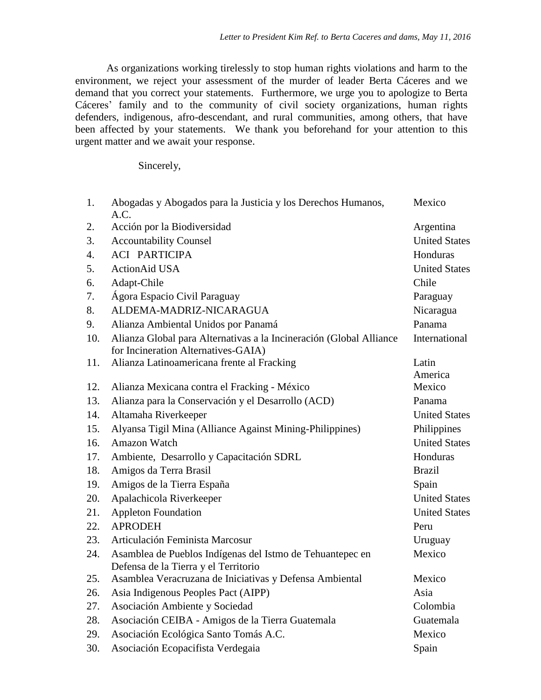As organizations working tirelessly to stop human rights violations and harm to the environment, we reject your assessment of the murder of leader Berta Cáceres and we demand that you correct your statements. Furthermore, we urge you to apologize to Berta Cáceres' family and to the community of civil society organizations, human rights defenders, indigenous, afro-descendant, and rural communities, among others, that have been affected by your statements. We thank you beforehand for your attention to this urgent matter and we await your response.

Sincerely,

| 1.               | Abogadas y Abogados para la Justicia y los Derechos Humanos,<br>A.C. | Mexico               |
|------------------|----------------------------------------------------------------------|----------------------|
| 2.               | Acción por la Biodiversidad                                          | Argentina            |
| 3.               | <b>Accountability Counsel</b>                                        | <b>United States</b> |
| $\overline{4}$ . | <b>ACI PARTICIPA</b>                                                 | Honduras             |
| 5.               | <b>ActionAid USA</b>                                                 | <b>United States</b> |
| 6.               | Adapt-Chile                                                          | Chile                |
| 7.               | Ágora Espacio Civil Paraguay                                         | Paraguay             |
| 8.               | ALDEMA-MADRIZ-NICARAGUA                                              | Nicaragua            |
| 9.               | Alianza Ambiental Unidos por Panamá                                  | Panama               |
| 10.              | Alianza Global para Alternativas a la Incineración (Global Alliance  | International        |
|                  | for Incineration Alternatives-GAIA)                                  |                      |
| 11.              | Alianza Latinoamericana frente al Fracking                           | Latin                |
|                  |                                                                      | America              |
| 12.              | Alianza Mexicana contra el Fracking - México                         | Mexico               |
| 13.              | Alianza para la Conservación y el Desarrollo (ACD)                   | Panama               |
| 14.              | Altamaha Riverkeeper                                                 | <b>United States</b> |
| 15.              | Alyansa Tigil Mina (Alliance Against Mining-Philippines)             | Philippines          |
| 16.              | Amazon Watch                                                         | <b>United States</b> |
| 17.              | Ambiente, Desarrollo y Capacitación SDRL                             | Honduras             |
| 18.              | Amigos da Terra Brasil                                               | <b>Brazil</b>        |
| 19.              | Amigos de la Tierra España                                           | Spain                |
| 20.              | Apalachicola Riverkeeper                                             | <b>United States</b> |
| 21.              | <b>Appleton Foundation</b>                                           | <b>United States</b> |
| 22.              | <b>APRODEH</b>                                                       | Peru                 |
| 23.              | Articulación Feminista Marcosur                                      | Uruguay              |
| 24.              | Asamblea de Pueblos Indígenas del Istmo de Tehuantepec en            | Mexico               |
|                  | Defensa de la Tierra y el Territorio                                 |                      |
| 25.              | Asamblea Veracruzana de Iniciativas y Defensa Ambiental              | Mexico               |
| 26.              | Asia Indigenous Peoples Pact (AIPP)                                  | Asia                 |
| 27.              | Asociación Ambiente y Sociedad                                       | Colombia             |
| 28.              | Asociación CEIBA - Amigos de la Tierra Guatemala                     | Guatemala            |
| 29.              | Asociación Ecológica Santo Tomás A.C.                                | Mexico               |
| 30.              | Asociación Ecopacifista Verdegaia                                    | Spain                |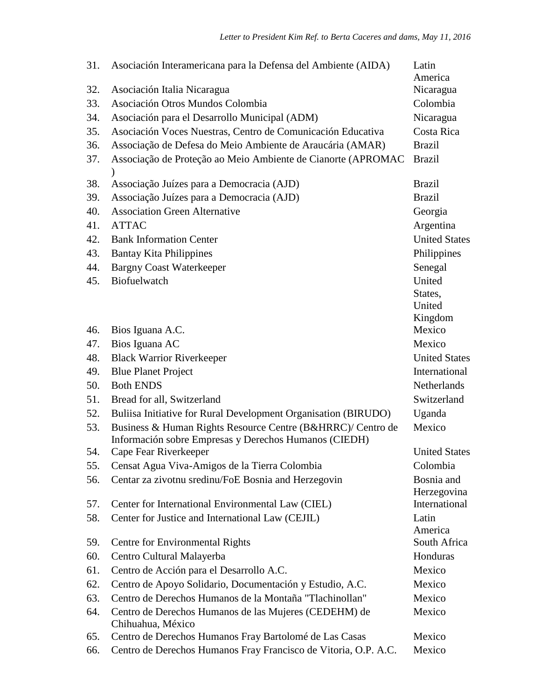| 31. | Asociación Interamericana para la Defensa del Ambiente (AIDA)                                                        | Latin<br>America          |
|-----|----------------------------------------------------------------------------------------------------------------------|---------------------------|
| 32. | Asociación Italia Nicaragua                                                                                          | Nicaragua                 |
| 33. | Asociación Otros Mundos Colombia                                                                                     | Colombia                  |
| 34. | Asociación para el Desarrollo Municipal (ADM)                                                                        | Nicaragua                 |
| 35. | Asociación Voces Nuestras, Centro de Comunicación Educativa                                                          | Costa Rica                |
| 36. | Associação de Defesa do Meio Ambiente de Araucária (AMAR)                                                            | <b>Brazil</b>             |
| 37. | Associação de Proteção ao Meio Ambiente de Cianorte (APROMAC                                                         | <b>Brazil</b>             |
| 38. | Associação Juízes para a Democracia (AJD)                                                                            | <b>Brazil</b>             |
| 39. | Associação Juízes para a Democracia (AJD)                                                                            | <b>Brazil</b>             |
| 40. | <b>Association Green Alternative</b>                                                                                 | Georgia                   |
| 41. | <b>ATTAC</b>                                                                                                         | Argentina                 |
| 42. | <b>Bank Information Center</b>                                                                                       | <b>United States</b>      |
| 43. | <b>Bantay Kita Philippines</b>                                                                                       | Philippines               |
| 44. | <b>Bargny Coast Waterkeeper</b>                                                                                      | Senegal                   |
| 45. | Biofuelwatch                                                                                                         | United                    |
|     |                                                                                                                      | States,<br>United         |
|     |                                                                                                                      | Kingdom                   |
| 46. | Bios Iguana A.C.                                                                                                     | Mexico                    |
| 47. | Bios Iguana AC                                                                                                       | Mexico                    |
| 48. | <b>Black Warrior Riverkeeper</b>                                                                                     | <b>United States</b>      |
| 49. | <b>Blue Planet Project</b>                                                                                           | International             |
| 50. | <b>Both ENDS</b>                                                                                                     | Netherlands               |
| 51. | Bread for all, Switzerland                                                                                           | Switzerland               |
| 52. | Buliisa Initiative for Rural Development Organisation (BIRUDO)                                                       | Uganda                    |
| 53. | Business & Human Rights Resource Centre (B&HRRC)/ Centro de<br>Información sobre Empresas y Derechos Humanos (CIEDH) | Mexico                    |
| 54. | Cape Fear Riverkeeper                                                                                                | <b>United States</b>      |
| 55. | Censat Agua Viva-Amigos de la Tierra Colombia                                                                        | Colombia                  |
| 56. | Centar za zivotnu sredinu/FoE Bosnia and Herzegovin                                                                  | Bosnia and<br>Herzegovina |
| 57. | Center for International Environmental Law (CIEL)                                                                    | International             |
| 58. | Center for Justice and International Law (CEJIL)                                                                     | Latin<br>America          |
| 59. | Centre for Environmental Rights                                                                                      | South Africa              |
| 60. | Centro Cultural Malayerba                                                                                            | Honduras                  |
| 61. | Centro de Acción para el Desarrollo A.C.                                                                             | Mexico                    |
| 62. | Centro de Apoyo Solidario, Documentación y Estudio, A.C.                                                             | Mexico                    |
| 63. | Centro de Derechos Humanos de la Montaña "Tlachinollan"                                                              | Mexico                    |
| 64. | Centro de Derechos Humanos de las Mujeres (CEDEHM) de<br>Chihuahua, México                                           | Mexico                    |
| 65. | Centro de Derechos Humanos Fray Bartolomé de Las Casas                                                               | Mexico                    |
| 66. | Centro de Derechos Humanos Fray Francisco de Vitoria, O.P. A.C.                                                      | Mexico                    |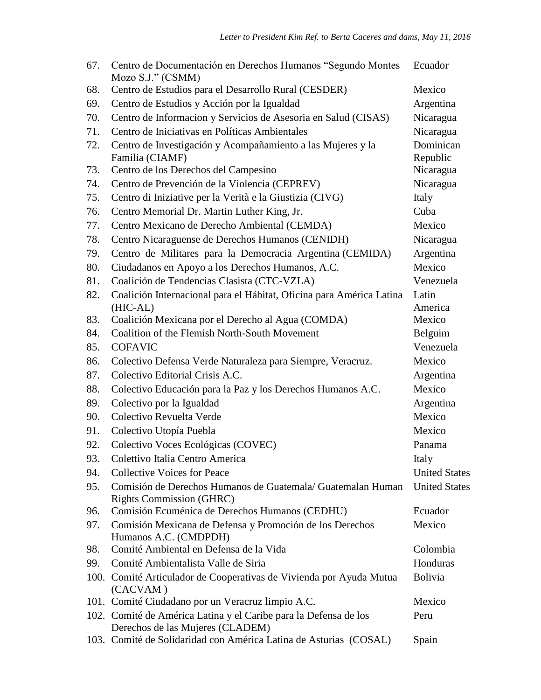| 67. | Centro de Documentación en Derechos Humanos "Segundo Montes"<br>Mozo S.J." (CSMM)                    | Ecuador               |
|-----|------------------------------------------------------------------------------------------------------|-----------------------|
| 68. | Centro de Estudios para el Desarrollo Rural (CESDER)                                                 | Mexico                |
| 69. | Centro de Estudios y Acción por la Igualdad                                                          | Argentina             |
| 70. | Centro de Informacion y Servicios de Asesoria en Salud (CISAS)                                       | Nicaragua             |
| 71. | Centro de Iniciativas en Políticas Ambientales                                                       | Nicaragua             |
| 72. | Centro de Investigación y Acompañamiento a las Mujeres y la<br>Familia (CIAMF)                       | Dominican<br>Republic |
| 73. | Centro de los Derechos del Campesino                                                                 | Nicaragua             |
| 74. | Centro de Prevención de la Violencia (CEPREV)                                                        | Nicaragua             |
| 75. | Centro di Iniziative per la Verità e la Giustizia (CIVG)                                             | Italy                 |
| 76. | Centro Memorial Dr. Martin Luther King, Jr.                                                          | Cuba                  |
| 77. | Centro Mexicano de Derecho Ambiental (CEMDA)                                                         | Mexico                |
| 78. | Centro Nicaraguense de Derechos Humanos (CENIDH)                                                     | Nicaragua             |
| 79. | Centro de Militares para la Democracia Argentina (CEMIDA)                                            | Argentina             |
| 80. | Ciudadanos en Apoyo a los Derechos Humanos, A.C.                                                     | Mexico                |
| 81. | Coalición de Tendencias Clasista (CTC-VZLA)                                                          | Venezuela             |
| 82. | Coalición Internacional para el Hábitat, Oficina para América Latina<br>(HIC-AL)                     | Latin<br>America      |
| 83. | Coalición Mexicana por el Derecho al Agua (COMDA)                                                    | Mexico                |
| 84. | Coalition of the Flemish North-South Movement                                                        | Belguim               |
| 85. | <b>COFAVIC</b>                                                                                       | Venezuela             |
| 86. | Colectivo Defensa Verde Naturaleza para Siempre, Veracruz.                                           | Mexico                |
| 87. | Colectivo Editorial Crisis A.C.                                                                      | Argentina             |
| 88. | Colectivo Educación para la Paz y los Derechos Humanos A.C.                                          | Mexico                |
| 89. | Colectivo por la Igualdad                                                                            | Argentina             |
| 90. | Colectivo Revuelta Verde                                                                             | Mexico                |
| 91. | Colectivo Utopía Puebla                                                                              | Mexico                |
| 92. | Colectivo Voces Ecológicas (COVEC)                                                                   | Panama                |
| 93. | Colettivo Italia Centro America                                                                      | Italy                 |
| 94. | <b>Collective Voices for Peace</b>                                                                   | <b>United States</b>  |
| 95. | Comisión de Derechos Humanos de Guatemala/ Guatemalan Human<br><b>Rights Commission (GHRC)</b>       | <b>United States</b>  |
| 96. | Comisión Ecuménica de Derechos Humanos (CEDHU)                                                       | Ecuador               |
| 97. | Comisión Mexicana de Defensa y Promoción de los Derechos<br>Humanos A.C. (CMDPDH)                    | Mexico                |
| 98. | Comité Ambiental en Defensa de la Vida                                                               | Colombia              |
| 99. | Comité Ambientalista Valle de Siria                                                                  | Honduras              |
|     | 100. Comité Articulador de Cooperativas de Vivienda por Ayuda Mutua<br>(CACVAM)                      | <b>Bolivia</b>        |
|     | 101. Comité Ciudadano por un Veracruz limpio A.C.                                                    | Mexico                |
|     | 102. Comité de América Latina y el Caribe para la Defensa de los<br>Derechos de las Mujeres (CLADEM) | Peru                  |
|     | 103. Comité de Solidaridad con América Latina de Asturias (COSAL)                                    | Spain                 |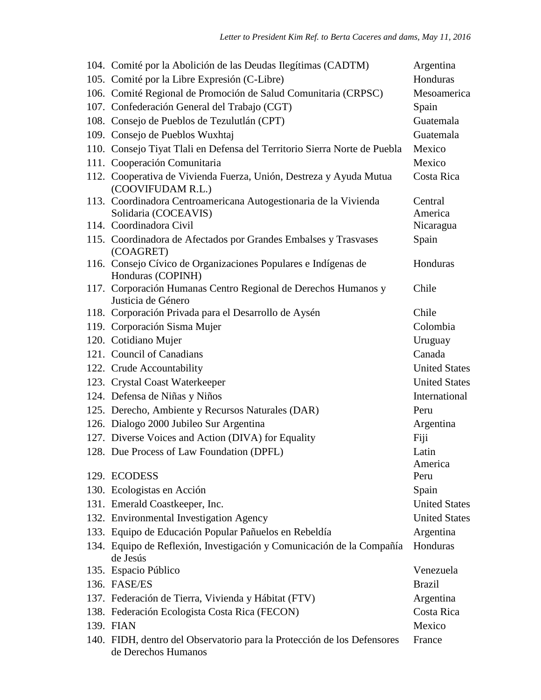| 104. Comité por la Abolición de las Deudas Ilegítimas (CADTM)                                  | Argentina            |
|------------------------------------------------------------------------------------------------|----------------------|
| 105. Comité por la Libre Expresión (C-Libre)                                                   | Honduras             |
| 106. Comité Regional de Promoción de Salud Comunitaria (CRPSC)                                 | Mesoamerica          |
| 107. Confederación General del Trabajo (CGT)                                                   | Spain                |
| 108. Consejo de Pueblos de Tezulutlán (CPT)                                                    | Guatemala            |
| 109. Consejo de Pueblos Wuxhtaj                                                                | Guatemala            |
| 110. Consejo Tiyat Tlali en Defensa del Territorio Sierra Norte de Puebla                      | Mexico               |
| 111. Cooperación Comunitaria                                                                   | Mexico               |
| 112. Cooperativa de Vivienda Fuerza, Unión, Destreza y Ayuda Mutua<br>(COOVIFUDAM R.L.)        | Costa Rica           |
| 113. Coordinadora Centroamericana Autogestionaria de la Vivienda                               | Central              |
| Solidaria (COCEAVIS)                                                                           | America              |
| 114. Coordinadora Civil                                                                        | Nicaragua            |
| 115. Coordinadora de Afectados por Grandes Embalses y Trasvases<br>(COAGRET)                   | Spain                |
| 116. Consejo Cívico de Organizaciones Populares e Indígenas de<br>Honduras (COPINH)            | Honduras             |
| 117. Corporación Humanas Centro Regional de Derechos Humanos y<br>Justicia de Género           | Chile                |
| 118. Corporación Privada para el Desarrollo de Aysén                                           | Chile                |
| 119. Corporación Sisma Mujer                                                                   | Colombia             |
| 120. Cotidiano Mujer                                                                           | Uruguay              |
| 121. Council of Canadians                                                                      | Canada               |
| 122. Crude Accountability                                                                      | <b>United States</b> |
| 123. Crystal Coast Waterkeeper                                                                 | <b>United States</b> |
| 124. Defensa de Niñas y Niños                                                                  | International        |
| 125. Derecho, Ambiente y Recursos Naturales (DAR)                                              | Peru                 |
| 126. Dialogo 2000 Jubileo Sur Argentina                                                        | Argentina            |
| 127. Diverse Voices and Action (DIVA) for Equality                                             | Fiji                 |
| 128. Due Process of Law Foundation (DPFL)                                                      | Latin                |
|                                                                                                | America              |
| 129. ECODESS                                                                                   | Peru                 |
| 130. Ecologistas en Acción                                                                     | Spain                |
| 131. Emerald Coastkeeper, Inc.                                                                 | <b>United States</b> |
| 132. Environmental Investigation Agency                                                        | <b>United States</b> |
| 133. Equipo de Educación Popular Pañuelos en Rebeldía                                          | Argentina            |
| 134. Equipo de Reflexión, Investigación y Comunicación de la Compañía<br>de Jesús              | Honduras             |
| 135. Espacio Público                                                                           | Venezuela            |
| 136. FASE/ES                                                                                   | <b>Brazil</b>        |
| 137. Federación de Tierra, Vivienda y Hábitat (FTV)                                            | Argentina            |
| 138. Federación Ecologista Costa Rica (FECON)                                                  | Costa Rica           |
| 139. FIAN                                                                                      | Mexico               |
| 140. FIDH, dentro del Observatorio para la Protección de los Defensores<br>de Derechos Humanos | France               |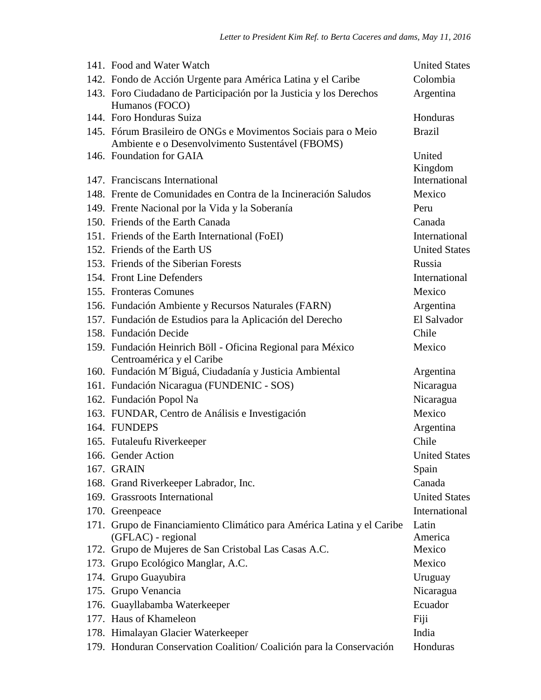| 141. Food and Water Watch                                                                                          | <b>United States</b> |
|--------------------------------------------------------------------------------------------------------------------|----------------------|
| 142. Fondo de Acción Urgente para América Latina y el Caribe                                                       | Colombia             |
| 143. Foro Ciudadano de Participación por la Justicia y los Derechos<br>Humanos (FOCO)                              | Argentina            |
| 144. Foro Honduras Suiza                                                                                           | Honduras             |
| 145. Fórum Brasileiro de ONGs e Movimentos Sociais para o Meio<br>Ambiente e o Desenvolvimento Sustentável (FBOMS) | <b>Brazil</b>        |
| 146. Foundation for GAIA                                                                                           | United<br>Kingdom    |
| 147. Franciscans International                                                                                     | International        |
| 148. Frente de Comunidades en Contra de la Incineración Saludos                                                    | Mexico               |
| 149. Frente Nacional por la Vida y la Soberanía                                                                    | Peru                 |
| 150. Friends of the Earth Canada                                                                                   | Canada               |
| 151. Friends of the Earth International (FoEI)                                                                     | International        |
| 152. Friends of the Earth US                                                                                       | <b>United States</b> |
| 153. Friends of the Siberian Forests                                                                               | Russia               |
| 154. Front Line Defenders                                                                                          | International        |
| 155. Fronteras Comunes                                                                                             | Mexico               |
| 156. Fundación Ambiente y Recursos Naturales (FARN)                                                                | Argentina            |
| 157. Fundación de Estudios para la Aplicación del Derecho                                                          | El Salvador          |
| 158. Fundación Decide                                                                                              | Chile                |
| 159. Fundación Heinrich Böll - Oficina Regional para México<br>Centroamérica y el Caribe                           | Mexico               |
| 160. Fundación M'Biguá, Ciudadanía y Justicia Ambiental                                                            | Argentina            |
| 161. Fundación Nicaragua (FUNDENIC - SOS)                                                                          | Nicaragua            |
| 162. Fundación Popol Na                                                                                            | Nicaragua            |
| 163. FUNDAR, Centro de Análisis e Investigación                                                                    | Mexico               |
| 164. FUNDEPS                                                                                                       | Argentina            |
| 165. Futaleufu Riverkeeper                                                                                         | Chile                |
| 166. Gender Action                                                                                                 | <b>United States</b> |
| 167. GRAIN                                                                                                         | Spain                |
| 168. Grand Riverkeeper Labrador, Inc.                                                                              | Canada               |
| 169. Grassroots International                                                                                      | <b>United States</b> |
| 170. Greenpeace                                                                                                    | International        |
| 171. Grupo de Financiamiento Climático para América Latina y el Caribe<br>(GFLAC) - regional                       | Latin<br>America     |
| 172. Grupo de Mujeres de San Cristobal Las Casas A.C.                                                              | Mexico               |
| 173. Grupo Ecológico Manglar, A.C.                                                                                 | Mexico               |
| 174. Grupo Guayubira                                                                                               | Uruguay              |
| 175. Grupo Venancia                                                                                                | Nicaragua            |
| 176. Guayllabamba Waterkeeper                                                                                      | Ecuador              |
| 177. Haus of Khameleon                                                                                             | Fiji                 |
| 178. Himalayan Glacier Waterkeeper                                                                                 | India                |
| 179. Honduran Conservation Coalition/ Coalición para la Conservación                                               | Honduras             |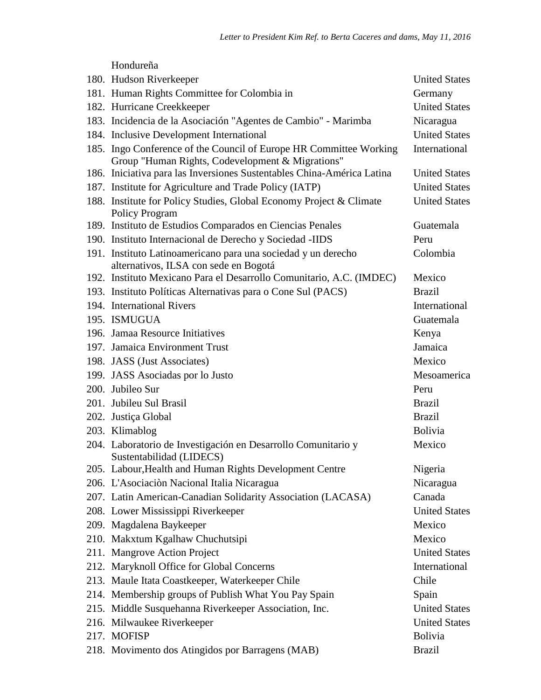Hondureña

| 180. Hudson Riverkeeper                                                                                                | <b>United States</b> |
|------------------------------------------------------------------------------------------------------------------------|----------------------|
| 181. Human Rights Committee for Colombia in                                                                            | Germany              |
| 182. Hurricane Creekkeeper                                                                                             | <b>United States</b> |
| 183. Incidencia de la Asociación "Agentes de Cambio" - Marimba                                                         | Nicaragua            |
| 184. Inclusive Development International                                                                               | <b>United States</b> |
| 185. Ingo Conference of the Council of Europe HR Committee Working<br>Group "Human Rights, Codevelopment & Migrations" | International        |
| 186. Iniciativa para las Inversiones Sustentables China-América Latina                                                 | <b>United States</b> |
| 187. Institute for Agriculture and Trade Policy (IATP)                                                                 | <b>United States</b> |
| 188. Institute for Policy Studies, Global Economy Project & Climate<br><b>Policy Program</b>                           | <b>United States</b> |
| 189. Instituto de Estudios Comparados en Ciencias Penales                                                              | Guatemala            |
| 190. Instituto Internacional de Derecho y Sociedad -IIDS                                                               | Peru                 |
| 191. Instituto Latinoamericano para una sociedad y un derecho<br>alternativos, ILSA con sede en Bogotá                 | Colombia             |
| 192. Instituto Mexicano Para el Desarrollo Comunitario, A.C. (IMDEC)                                                   | Mexico               |
| 193. Instituto Políticas Alternativas para o Cone Sul (PACS)                                                           | <b>Brazil</b>        |
| 194. International Rivers                                                                                              | International        |
| 195. ISMUGUA                                                                                                           | Guatemala            |
| 196. Jamaa Resource Initiatives                                                                                        | Kenya                |
| 197. Jamaica Environment Trust                                                                                         | Jamaica              |
| 198. JASS (Just Associates)                                                                                            | Mexico               |
| 199. JASS Asociadas por lo Justo                                                                                       | Mesoamerica          |
| 200. Jubileo Sur                                                                                                       | Peru                 |
| 201. Jubileu Sul Brasil                                                                                                | <b>Brazil</b>        |
| 202. Justiça Global                                                                                                    | <b>Brazil</b>        |
| 203. Klimablog                                                                                                         | <b>Bolivia</b>       |
| 204. Laboratorio de Investigación en Desarrollo Comunitario y<br>Sustentabilidad (LIDECS)                              | Mexico               |
| 205. Labour, Health and Human Rights Development Centre                                                                | Nigeria              |
| 206. L'Asociaciòn Nacional Italia Nicaragua                                                                            | Nicaragua            |
| 207. Latin American-Canadian Solidarity Association (LACASA)                                                           | Canada               |
| 208. Lower Mississippi Riverkeeper                                                                                     | <b>United States</b> |
| 209. Magdalena Baykeeper                                                                                               | Mexico               |
| 210. Makxtum Kgalhaw Chuchutsipi                                                                                       | Mexico               |
| 211. Mangrove Action Project                                                                                           | <b>United States</b> |
| 212. Maryknoll Office for Global Concerns                                                                              | International        |
| 213. Maule Itata Coastkeeper, Waterkeeper Chile                                                                        | Chile                |
| 214. Membership groups of Publish What You Pay Spain                                                                   | Spain                |
| 215. Middle Susquehanna Riverkeeper Association, Inc.                                                                  | <b>United States</b> |
| 216. Milwaukee Riverkeeper                                                                                             | <b>United States</b> |
| 217. MOFISP                                                                                                            | <b>Bolivia</b>       |
| 218. Movimento dos Atingidos por Barragens (MAB)                                                                       | <b>Brazil</b>        |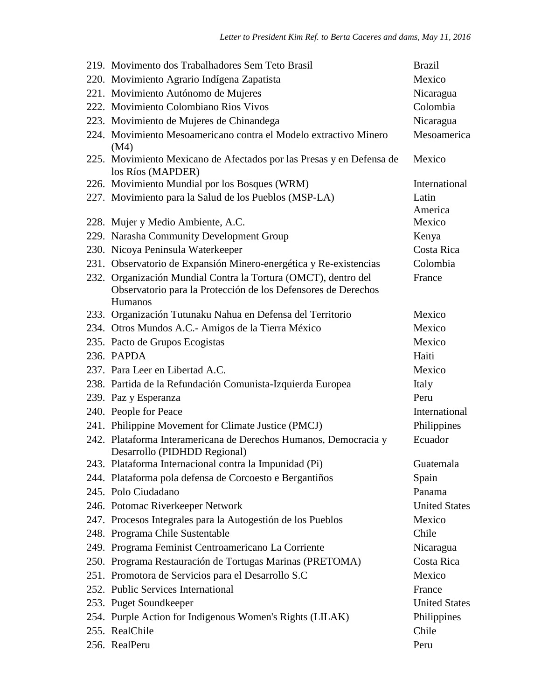| 219. Movimento dos Trabalhadores Sem Teto Brasil                                          | <b>Brazil</b>        |
|-------------------------------------------------------------------------------------------|----------------------|
| 220. Movimiento Agrario Indígena Zapatista                                                | Mexico               |
| 221. Movimiento Autónomo de Mujeres                                                       | Nicaragua            |
| 222. Movimiento Colombiano Rios Vivos                                                     | Colombia             |
| 223. Movimiento de Mujeres de Chinandega                                                  | Nicaragua            |
| 224. Movimiento Mesoamericano contra el Modelo extractivo Minero<br>(M4)                  | Mesoamerica          |
| 225. Movimiento Mexicano de Afectados por las Presas y en Defensa de<br>los Ríos (MAPDER) | Mexico               |
| 226. Movimiento Mundial por los Bosques (WRM)                                             | International        |
| 227. Movimiento para la Salud de los Pueblos (MSP-LA)                                     | Latin                |
|                                                                                           | America              |
| 228. Mujer y Medio Ambiente, A.C.                                                         | Mexico               |
| 229. Narasha Community Development Group                                                  | Kenya                |
| 230. Nicoya Peninsula Waterkeeper                                                         | Costa Rica           |
| 231. Observatorio de Expansión Minero-energética y Re-existencias                         | Colombia             |
| 232. Organización Mundial Contra la Tortura (OMCT), dentro del                            | France               |
| Observatorio para la Protección de los Defensores de Derechos                             |                      |
| Humanos<br>233. Organización Tutunaku Nahua en Defensa del Territorio                     | Mexico               |
| 234. Otros Mundos A.C.- Amigos de la Tierra México                                        | Mexico               |
| 235. Pacto de Grupos Ecogistas                                                            | Mexico               |
| 236. PAPDA                                                                                | Haiti                |
| 237. Para Leer en Libertad A.C.                                                           | Mexico               |
| 238. Partida de la Refundación Comunista-Izquierda Europea                                | Italy                |
| 239. Paz y Esperanza                                                                      | Peru                 |
| 240. People for Peace                                                                     | International        |
| 241. Philippine Movement for Climate Justice (PMCJ)                                       | Philippines          |
| 242. Plataforma Interamericana de Derechos Humanos, Democracia y                          | Ecuador              |
| Desarrollo (PIDHDD Regional)                                                              |                      |
| 243. Plataforma Internacional contra la Impunidad (Pi)                                    | Guatemala            |
| 244. Plataforma pola defensa de Corcoesto e Bergantiños                                   | Spain                |
| 245. Polo Ciudadano                                                                       | Panama               |
| 246. Potomac Riverkeeper Network                                                          | <b>United States</b> |
| 247. Procesos Integrales para la Autogestión de los Pueblos                               | Mexico               |
| 248. Programa Chile Sustentable                                                           | Chile                |
| 249. Programa Feminist Centroamericano La Corriente                                       | Nicaragua            |
| 250. Programa Restauración de Tortugas Marinas (PRETOMA)                                  | Costa Rica           |
| 251. Promotora de Servicios para el Desarrollo S.C                                        | Mexico               |
| 252. Public Services International                                                        | France               |
| 253. Puget Soundkeeper                                                                    | <b>United States</b> |
| 254. Purple Action for Indigenous Women's Rights (LILAK)                                  | Philippines          |
| 255. RealChile                                                                            | Chile                |
| 256. RealPeru                                                                             | Peru                 |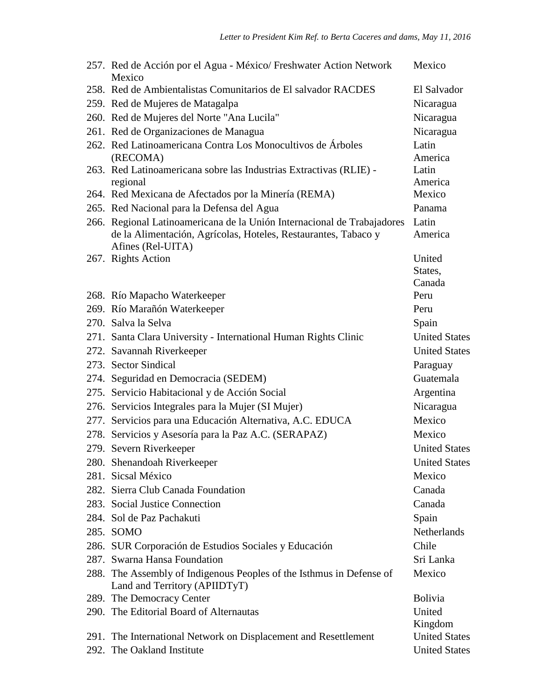| 257. Red de Acción por el Agua - México/ Freshwater Action Network<br>Mexico                          | Mexico               |
|-------------------------------------------------------------------------------------------------------|----------------------|
| 258. Red de Ambientalistas Comunitarios de El salvador RACDES                                         | El Salvador          |
| 259. Red de Mujeres de Matagalpa                                                                      | Nicaragua            |
| 260. Red de Mujeres del Norte "Ana Lucila"                                                            | Nicaragua            |
| 261. Red de Organizaciones de Managua                                                                 | Nicaragua            |
| 262. Red Latinoamericana Contra Los Monocultivos de Árboles                                           | Latin                |
| (RECOMA)<br>263. Red Latinoamericana sobre las Industrias Extractivas (RLIE) -                        | America<br>Latin     |
| regional                                                                                              | America              |
| 264. Red Mexicana de Afectados por la Minería (REMA)                                                  | Mexico               |
| 265. Red Nacional para la Defensa del Agua                                                            | Panama               |
| 266. Regional Latinoamericana de la Unión Internacional de Trabajadores                               | Latin                |
| de la Alimentación, Agrícolas, Hoteles, Restaurantes, Tabaco y<br>Afines (Rel-UITA)                   | America              |
| 267. Rights Action                                                                                    | United               |
|                                                                                                       | States,              |
|                                                                                                       | Canada               |
| 268. Río Mapacho Waterkeeper                                                                          | Peru                 |
| 269. Río Marañón Waterkeeper                                                                          | Peru                 |
| 270. Salva la Selva                                                                                   | Spain                |
| 271. Santa Clara University - International Human Rights Clinic                                       | <b>United States</b> |
| 272. Savannah Riverkeeper                                                                             | <b>United States</b> |
| 273. Sector Sindical                                                                                  | Paraguay             |
| 274. Seguridad en Democracia (SEDEM)                                                                  | Guatemala            |
| 275. Servicio Habitacional y de Acción Social                                                         | Argentina            |
| 276. Servicios Integrales para la Mujer (SI Mujer)                                                    | Nicaragua            |
| 277. Servicios para una Educación Alternativa, A.C. EDUCA                                             | Mexico               |
| 278. Servicios y Asesoría para la Paz A.C. (SERAPAZ)                                                  | Mexico               |
| 279. Severn Riverkeeper                                                                               | <b>United States</b> |
| 280. Shenandoah Riverkeeper                                                                           | <b>United States</b> |
| 281. Sicsal México                                                                                    | Mexico               |
| 282. Sierra Club Canada Foundation                                                                    | Canada               |
| 283. Social Justice Connection                                                                        | Canada               |
| 284. Sol de Paz Pachakuti                                                                             | Spain                |
| 285. SOMO                                                                                             | <b>Netherlands</b>   |
| 286. SUR Corporación de Estudios Sociales y Educación                                                 | Chile                |
| 287. Swarna Hansa Foundation                                                                          | Sri Lanka            |
| 288. The Assembly of Indigenous Peoples of the Isthmus in Defense of<br>Land and Territory (APIIDTyT) | Mexico               |
| 289. The Democracy Center                                                                             | <b>Bolivia</b>       |
| 290. The Editorial Board of Alternautas                                                               | United               |
|                                                                                                       | Kingdom              |
| 291. The International Network on Displacement and Resettlement                                       | <b>United States</b> |
| 292. The Oakland Institute                                                                            | <b>United States</b> |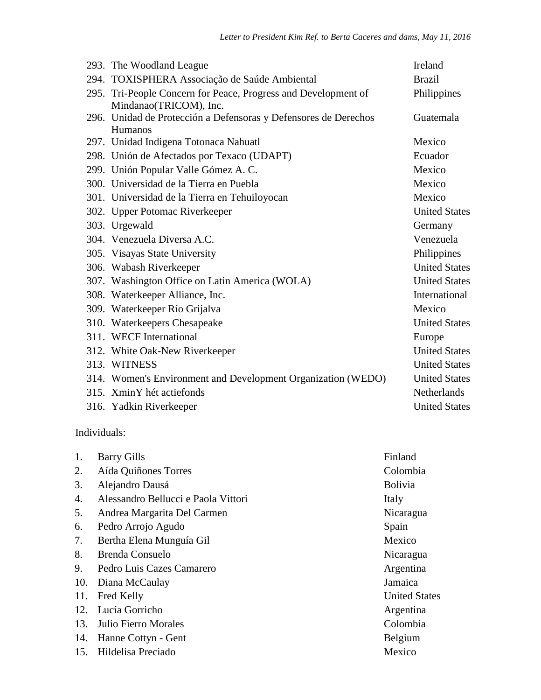| 293. The Woodland League                                                                 | Ireland              |
|------------------------------------------------------------------------------------------|----------------------|
| 294. TOXISPHERA Associação de Saúde Ambiental                                            | <b>Brazil</b>        |
| 295. Tri-People Concern for Peace, Progress and Development of<br>Mindanao(TRICOM), Inc. | Philippines          |
| 296. Unidad de Protección a Defensoras y Defensores de Derechos<br>Humanos               | Guatemala            |
| 297. Unidad Indigena Totonaca Nahuatl                                                    | Mexico               |
| 298. Unión de Afectados por Texaco (UDAPT)                                               | Ecuador              |
| 299. Unión Popular Valle Gómez A. C.                                                     | Mexico               |
| 300. Universidad de la Tierra en Puebla                                                  | Mexico               |
| 301. Universidad de la Tierra en Tehuiloyocan                                            | Mexico               |
| 302. Upper Potomac Riverkeeper                                                           | <b>United States</b> |
| 303. Urgewald                                                                            | Germany              |
| 304. Venezuela Diversa A.C.                                                              | Venezuela            |
| 305. Visayas State University                                                            | Philippines          |
| 306. Wabash Riverkeeper                                                                  | <b>United States</b> |
| 307. Washington Office on Latin America (WOLA)                                           | <b>United States</b> |
| 308. Waterkeeper Alliance, Inc.                                                          | International        |
| 309. Waterkeeper Río Grijalva                                                            | Mexico               |
| 310. Waterkeepers Chesapeake                                                             | <b>United States</b> |
| 311. WECF International                                                                  | Europe               |
| 312. White Oak-New Riverkeeper                                                           | <b>United States</b> |
| 313. WITNESS                                                                             | <b>United States</b> |
| 314. Women's Environment and Development Organization (WEDO)                             | <b>United States</b> |
| 315. XminY hét actiefonds                                                                | Netherlands          |
| 316. Yadkin Riverkeeper                                                                  | <b>United States</b> |
|                                                                                          |                      |

Individuals:

| 1.  | <b>Barry Gills</b>                  | Finland              |
|-----|-------------------------------------|----------------------|
| 2.  | Aída Quiñones Torres                | Colombia             |
| 3.  | Alejandro Dausá                     | Bolivia              |
| 4.  | Alessandro Bellucci e Paola Vittori | Italy                |
| 5.  | Andrea Margarita Del Carmen         | Nicaragua            |
| 6.  | Pedro Arrojo Agudo                  | Spain                |
| 7.  | Bertha Elena Munguía Gil            | Mexico               |
| 8.  | <b>Brenda Consuelo</b>              | Nicaragua            |
| 9.  | Pedro Luis Cazes Camarero           | Argentina            |
| 10. | Diana McCaulay                      | Jamaica              |
| 11. | Fred Kelly                          | <b>United States</b> |
| 12. | Lucía Gorricho                      | Argentina            |
| 13. | Julio Fierro Morales                | Colombia             |
| 14. | Hanne Cottyn - Gent                 | Belgium              |
| 15. | Hildelisa Preciado                  | Mexico               |
|     |                                     |                      |